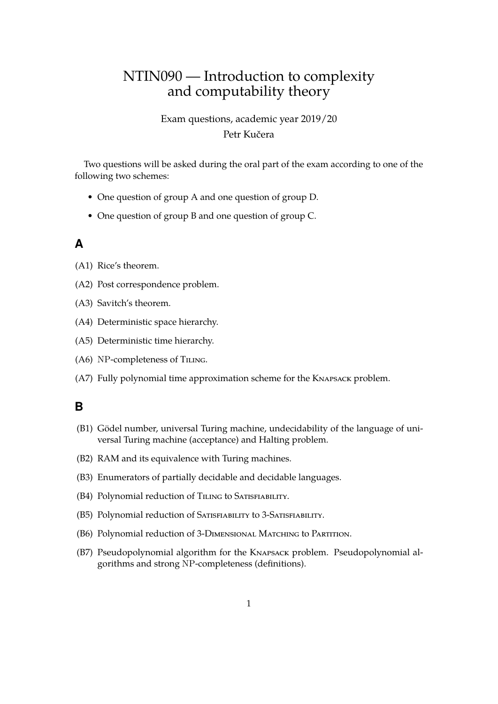# NTIN090 — Introduction to complexity and computability theory

Exam questions, academic year 2019/20 Petr Kučera

Two questions will be asked during the oral part of the exam according to one of the following two schemes:

- One question of group A and one question of group D.
- One question of group B and one question of group C.

#### **A**

- (A1) Rice's theorem.
- (A2) Post correspondence problem.
- (A3) Savitch's theorem.
- (A4) Deterministic space hierarchy.
- (A5) Deterministic time hierarchy.
- (A6) NP-completeness of TILING.
- (A7) Fully polynomial time approximation scheme for the Knapsack problem.

#### **B**

- (B1) Gödel number, universal Turing machine, undecidability of the language of universal Turing machine (acceptance) and Halting problem.
- (B2) RAM and its equivalence with Turing machines.
- (B3) Enumerators of partially decidable and decidable languages.
- (B4) Polynomial reduction of TILING to SATISFIABILITY.
- (B5) Polynomial reduction of Satisfiability to 3-Satisfiability.
- (B6) Polynomial reduction of 3-Dimensional Matching to Partition.
- (B7) Pseudopolynomial algorithm for the Knapsack problem. Pseudopolynomial algorithms and strong NP-completeness (definitions).